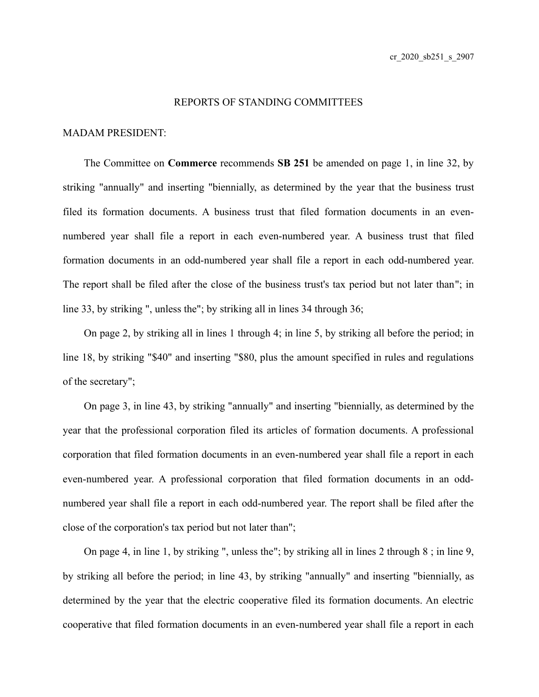## REPORTS OF STANDING COMMITTEES

## MADAM PRESIDENT:

The Committee on **Commerce** recommends **SB 251** be amended on page 1, in line 32, by striking "annually" and inserting "biennially, as determined by the year that the business trust filed its formation documents. A business trust that filed formation documents in an evennumbered year shall file a report in each even-numbered year. A business trust that filed formation documents in an odd-numbered year shall file a report in each odd-numbered year. The report shall be filed after the close of the business trust's tax period but not later than"; in line 33, by striking ", unless the"; by striking all in lines 34 through 36;

On page 2, by striking all in lines 1 through 4; in line 5, by striking all before the period; in line 18, by striking "\$40" and inserting "\$80, plus the amount specified in rules and regulations of the secretary";

On page 3, in line 43, by striking "annually" and inserting "biennially, as determined by the year that the professional corporation filed its articles of formation documents. A professional corporation that filed formation documents in an even-numbered year shall file a report in each even-numbered year. A professional corporation that filed formation documents in an oddnumbered year shall file a report in each odd-numbered year. The report shall be filed after the close of the corporation's tax period but not later than";

On page 4, in line 1, by striking ", unless the"; by striking all in lines 2 through 8 ; in line 9, by striking all before the period; in line 43, by striking "annually" and inserting "biennially, as determined by the year that the electric cooperative filed its formation documents. An electric cooperative that filed formation documents in an even-numbered year shall file a report in each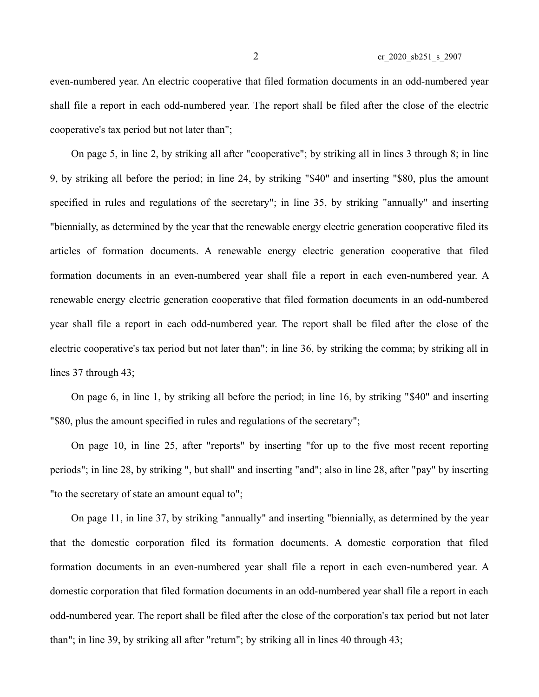even-numbered year. An electric cooperative that filed formation documents in an odd-numbered year shall file a report in each odd-numbered year. The report shall be filed after the close of the electric cooperative's tax period but not later than";

On page 5, in line 2, by striking all after "cooperative"; by striking all in lines 3 through 8; in line 9, by striking all before the period; in line 24, by striking "\$40" and inserting "\$80, plus the amount specified in rules and regulations of the secretary"; in line 35, by striking "annually" and inserting "biennially, as determined by the year that the renewable energy electric generation cooperative filed its articles of formation documents. A renewable energy electric generation cooperative that filed formation documents in an even-numbered year shall file a report in each even-numbered year. A renewable energy electric generation cooperative that filed formation documents in an odd-numbered year shall file a report in each odd-numbered year. The report shall be filed after the close of the electric cooperative's tax period but not later than"; in line 36, by striking the comma; by striking all in lines 37 through 43;

On page 6, in line 1, by striking all before the period; in line 16, by striking "\$40" and inserting "\$80, plus the amount specified in rules and regulations of the secretary";

On page 10, in line 25, after "reports" by inserting "for up to the five most recent reporting periods"; in line 28, by striking ", but shall" and inserting "and"; also in line 28, after "pay" by inserting "to the secretary of state an amount equal to";

On page 11, in line 37, by striking "annually" and inserting "biennially, as determined by the year that the domestic corporation filed its formation documents. A domestic corporation that filed formation documents in an even-numbered year shall file a report in each even-numbered year. A domestic corporation that filed formation documents in an odd-numbered year shall file a report in each odd-numbered year. The report shall be filed after the close of the corporation's tax period but not later than"; in line 39, by striking all after "return"; by striking all in lines 40 through 43;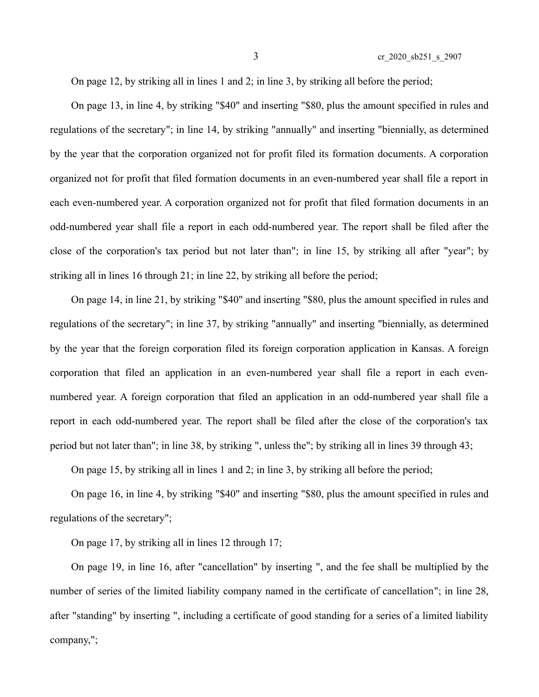On page 12, by striking all in lines 1 and 2; in line 3, by striking all before the period;

On page 13, in line 4, by striking "\$40" and inserting "\$80, plus the amount specified in rules and regulations of the secretary"; in line 14, by striking "annually" and inserting "biennially, as determined by the year that the corporation organized not for profit filed its formation documents. A corporation organized not for profit that filed formation documents in an even-numbered year shall file a report in each even-numbered year. A corporation organized not for profit that filed formation documents in an odd-numbered year shall file a report in each odd-numbered year. The report shall be filed after the close of the corporation's tax period but not later than"; in line 15, by striking all after "year"; by striking all in lines 16 through 21; in line 22, by striking all before the period;

On page 14, in line 21, by striking "\$40" and inserting "\$80, plus the amount specified in rules and regulations of the secretary"; in line 37, by striking "annually" and inserting "biennially, as determined by the year that the foreign corporation filed its foreign corporation application in Kansas. A foreign corporation that filed an application in an even-numbered year shall file a report in each evennumbered year. A foreign corporation that filed an application in an odd-numbered year shall file a report in each odd-numbered year. The report shall be filed after the close of the corporation's tax period but not later than"; in line 38, by striking ", unless the"; by striking all in lines 39 through 43;

On page 15, by striking all in lines 1 and 2; in line 3, by striking all before the period;

On page 16, in line 4, by striking "\$40" and inserting "\$80, plus the amount specified in rules and regulations of the secretary";

On page 17, by striking all in lines 12 through 17;

On page 19, in line 16, after "cancellation" by inserting ", and the fee shall be multiplied by the number of series of the limited liability company named in the certificate of cancellation"; in line 28, after "standing" by inserting ", including a certificate of good standing for a series of a limited liability company,";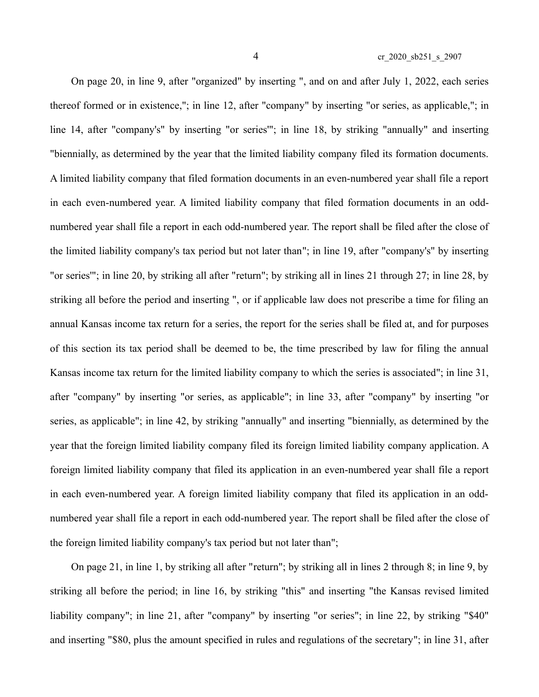On page 20, in line 9, after "organized" by inserting ", and on and after July 1, 2022, each series thereof formed or in existence,"; in line 12, after "company" by inserting "or series, as applicable,"; in line 14, after "company's" by inserting "or series'"; in line 18, by striking "annually" and inserting "biennially, as determined by the year that the limited liability company filed its formation documents. A limited liability company that filed formation documents in an even-numbered year shall file a report in each even-numbered year. A limited liability company that filed formation documents in an oddnumbered year shall file a report in each odd-numbered year. The report shall be filed after the close of the limited liability company's tax period but not later than"; in line 19, after "company's" by inserting "or series'"; in line 20, by striking all after "return"; by striking all in lines 21 through 27; in line 28, by striking all before the period and inserting ", or if applicable law does not prescribe a time for filing an annual Kansas income tax return for a series, the report for the series shall be filed at, and for purposes of this section its tax period shall be deemed to be, the time prescribed by law for filing the annual Kansas income tax return for the limited liability company to which the series is associated"; in line 31, after "company" by inserting "or series, as applicable"; in line 33, after "company" by inserting "or series, as applicable"; in line 42, by striking "annually" and inserting "biennially, as determined by the year that the foreign limited liability company filed its foreign limited liability company application. A foreign limited liability company that filed its application in an even-numbered year shall file a report in each even-numbered year. A foreign limited liability company that filed its application in an oddnumbered year shall file a report in each odd-numbered year. The report shall be filed after the close of the foreign limited liability company's tax period but not later than";

On page 21, in line 1, by striking all after "return"; by striking all in lines 2 through 8; in line 9, by striking all before the period; in line 16, by striking "this" and inserting "the Kansas revised limited liability company"; in line 21, after "company" by inserting "or series"; in line 22, by striking "\$40" and inserting "\$80, plus the amount specified in rules and regulations of the secretary"; in line 31, after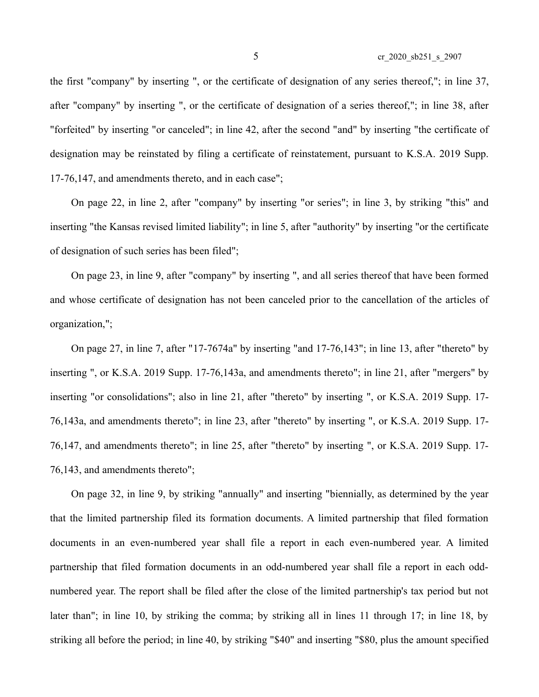the first "company" by inserting ", or the certificate of designation of any series thereof,"; in line 37, after "company" by inserting ", or the certificate of designation of a series thereof,"; in line 38, after "forfeited" by inserting "or canceled"; in line 42, after the second "and" by inserting "the certificate of designation may be reinstated by filing a certificate of reinstatement, pursuant to K.S.A. 2019 Supp. 17-76,147, and amendments thereto, and in each case";

On page 22, in line 2, after "company" by inserting "or series"; in line 3, by striking "this" and inserting "the Kansas revised limited liability"; in line 5, after "authority" by inserting "or the certificate of designation of such series has been filed";

On page 23, in line 9, after "company" by inserting ", and all series thereof that have been formed and whose certificate of designation has not been canceled prior to the cancellation of the articles of organization,";

On page 27, in line 7, after "17-7674a" by inserting "and 17-76,143"; in line 13, after "thereto" by inserting ", or K.S.A. 2019 Supp. 17-76,143a, and amendments thereto"; in line 21, after "mergers" by inserting "or consolidations"; also in line 21, after "thereto" by inserting ", or K.S.A. 2019 Supp. 17- 76,143a, and amendments thereto"; in line 23, after "thereto" by inserting ", or K.S.A. 2019 Supp. 17- 76,147, and amendments thereto"; in line 25, after "thereto" by inserting ", or K.S.A. 2019 Supp. 17- 76,143, and amendments thereto";

On page 32, in line 9, by striking "annually" and inserting "biennially, as determined by the year that the limited partnership filed its formation documents. A limited partnership that filed formation documents in an even-numbered year shall file a report in each even-numbered year. A limited partnership that filed formation documents in an odd-numbered year shall file a report in each oddnumbered year. The report shall be filed after the close of the limited partnership's tax period but not later than"; in line 10, by striking the comma; by striking all in lines 11 through 17; in line 18, by striking all before the period; in line 40, by striking "\$40" and inserting "\$80, plus the amount specified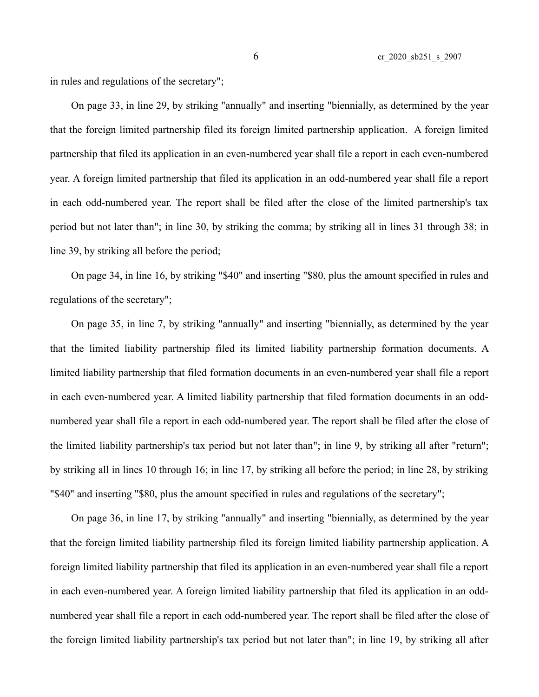in rules and regulations of the secretary";

On page 33, in line 29, by striking "annually" and inserting "biennially, as determined by the year that the foreign limited partnership filed its foreign limited partnership application. A foreign limited partnership that filed its application in an even-numbered year shall file a report in each even-numbered year. A foreign limited partnership that filed its application in an odd-numbered year shall file a report in each odd-numbered year. The report shall be filed after the close of the limited partnership's tax period but not later than"; in line 30, by striking the comma; by striking all in lines 31 through 38; in line 39, by striking all before the period;

On page 34, in line 16, by striking "\$40" and inserting "\$80, plus the amount specified in rules and regulations of the secretary";

On page 35, in line 7, by striking "annually" and inserting "biennially, as determined by the year that the limited liability partnership filed its limited liability partnership formation documents. A limited liability partnership that filed formation documents in an even-numbered year shall file a report in each even-numbered year. A limited liability partnership that filed formation documents in an oddnumbered year shall file a report in each odd-numbered year. The report shall be filed after the close of the limited liability partnership's tax period but not later than"; in line 9, by striking all after "return"; by striking all in lines 10 through 16; in line 17, by striking all before the period; in line 28, by striking "\$40" and inserting "\$80, plus the amount specified in rules and regulations of the secretary";

On page 36, in line 17, by striking "annually" and inserting "biennially, as determined by the year that the foreign limited liability partnership filed its foreign limited liability partnership application. A foreign limited liability partnership that filed its application in an even-numbered year shall file a report in each even-numbered year. A foreign limited liability partnership that filed its application in an oddnumbered year shall file a report in each odd-numbered year. The report shall be filed after the close of the foreign limited liability partnership's tax period but not later than"; in line 19, by striking all after